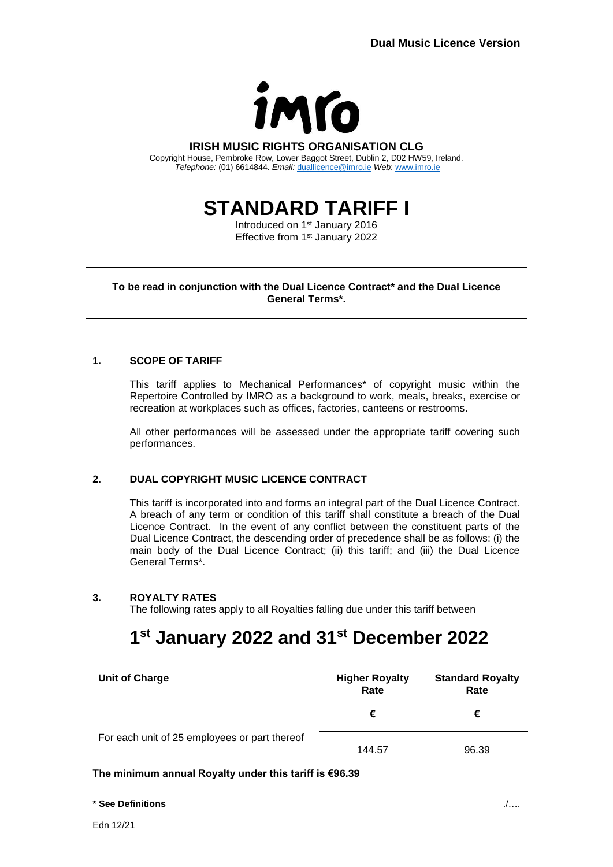

### **IRISH MUSIC RIGHTS ORGANISATION CLG**

Copyright House, Pembroke Row, Lower Baggot Street, Dublin 2, D02 HW59, Ireland. *Telephone:* (01) 6614844. *Email:* [duallicence@imro.ie](mailto:duallicence@imro.ie) *Web*: [www.imro.ie](http://www.imro.ie/)

**STANDARD TARIFF I**

Introduced on 1<sup>st</sup> January 2016 Effective from 1<sup>st</sup> January 2022

**To be read in conjunction with the Dual Licence Contract\* and the Dual Licence General Terms\*.**

# **1. SCOPE OF TARIFF**

This tariff applies to Mechanical Performances\* of copyright music within the Repertoire Controlled by IMRO as a background to work, meals, breaks, exercise or recreation at workplaces such as offices, factories, canteens or restrooms.

All other performances will be assessed under the appropriate tariff covering such performances.

# **2. DUAL COPYRIGHT MUSIC LICENCE CONTRACT**

This tariff is incorporated into and forms an integral part of the Dual Licence Contract. A breach of any term or condition of this tariff shall constitute a breach of the Dual Licence Contract. In the event of any conflict between the constituent parts of the Dual Licence Contract, the descending order of precedence shall be as follows: (i) the main body of the Dual Licence Contract; (ii) this tariff; and (iii) the Dual Licence General Terms\*.

## **3. ROYALTY RATES**

The following rates apply to all Royalties falling due under this tariff between

# **1 st January 2022 and 31st December 2022**

| <b>Unit of Charge</b>                         | <b>Higher Royalty</b><br>Rate | <b>Standard Royalty</b><br>Rate |
|-----------------------------------------------|-------------------------------|---------------------------------|
|                                               | €                             | €                               |
| For each unit of 25 employees or part thereof | 144.57                        | 96.39                           |

## **The minimum annual Royalty under this tariff is €96.39**

#### **\* See Definitions** ./….